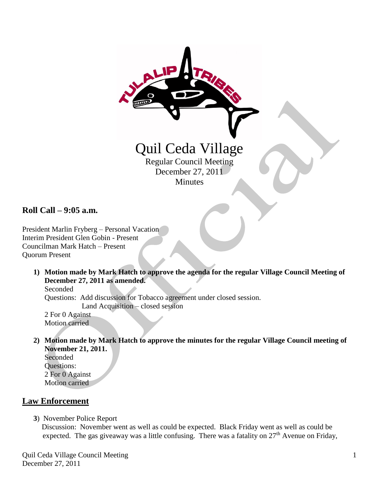

**Roll Call – 9:05 a.m.**

President Marlin Fryberg – Personal Vacation Interim President Glen Gobin - Present Councilman Mark Hatch – Present Quorum Present

**1) Motion made by Mark Hatch to approve the agenda for the regular Village Council Meeting of December 27, 2011 as amended.**

Seconded Questions: Add discussion for Tobacco agreement under closed session. Land Acquisition – closed session 2 For 0 Against Motion carried

**2) Motion made by Mark Hatch to approve the minutes for the regular Village Council meeting of November 21, 2011.**

Seconded Questions: 2 For 0 Against Motion carried

## **Law Enforcement**

 **3**) November Police Report

 Discussion: November went as well as could be expected. Black Friday went as well as could be expected. The gas giveaway was a little confusing. There was a fatality on  $27<sup>th</sup>$  Avenue on Friday,

Quil Ceda Village Council Meeting December 27, 2011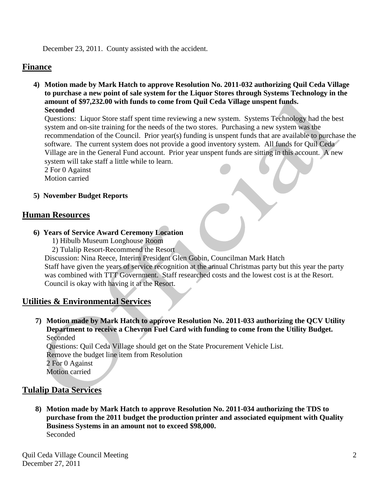December 23, 2011. County assisted with the accident.

### **Finance**

**4) Motion made by Mark Hatch to approve Resolution No. 2011-032 authorizing Quil Ceda Village to purchase a new point of sale system for the Liquor Stores through Systems Technology in the amount of \$97,232.00 with funds to come from Quil Ceda Village unspent funds. Seconded**

Questions:Liquor Store staff spent time reviewing a new system. Systems Technology had the best system and on-site training for the needs of the two stores. Purchasing a new system was the recommendation of the Council. Prior year(s) funding is unspent funds that are available to purchase the software. The current system does not provide a good inventory system. All funds for Quil Ceda Village are in the General Fund account. Prior year unspent funds are sitting in this account. A new system will take staff a little while to learn.

 2 For 0 Against Motion carried

#### **5) November Budget Reports**

#### **Human Resources**

- **6) Years of Service Award Ceremony Location**
	- 1) Hibulb Museum Longhouse Room
	- 2) Tulalip Resort-Recommend the Resort

Discussion: Nina Reece, Interim President Glen Gobin, Councilman Mark Hatch

 Staff have given the years of service recognition at the annual Christmas party but this year the party was combined with TTT Government. Staff researched costs and the lowest cost is at the Resort. Council is okay with having it at the Resort.

### **Utilities & Environmental Services**

**7) Motion made by Mark Hatch to approve Resolution No. 2011-033 authorizing the QCV Utility Department to receive a Chevron Fuel Card with funding to come from the Utility Budget.** Seconded Questions: Quil Ceda Village should get on the State Procurement Vehicle List.

Remove the budget line item from Resolution

2 For 0 Against

Motion carried

### **Tulalip Data Services**

**8) Motion made by Mark Hatch to approve Resolution No. 2011-034 authorizing the TDS to purchase from the 2011 budget the production printer and associated equipment with Quality Business Systems in an amount not to exceed \$98,000.** Seconded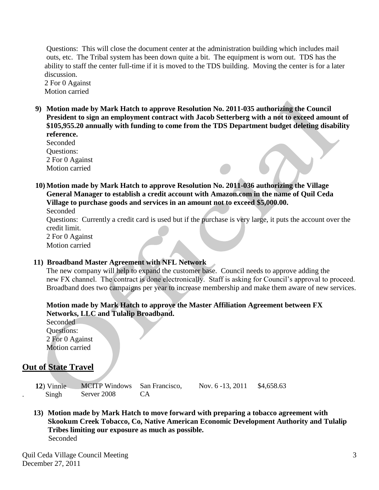Questions:This will close the document center at the administration building which includes mail outs, etc. The Tribal system has been down quite a bit. The equipment is worn out. TDS has the ability to staff the center full-time if it is moved to the TDS building. Moving the center is for a later discussion.

2 For 0 Against Motion carried

**9) Motion made by Mark Hatch to approve Resolution No. 2011-035 authorizing the Council President to sign an employment contract with Jacob Setterberg with a not to exceed amount of \$105,955.20 annually with funding to come from the TDS Department budget deleting disability reference.**

Seconded Questions: 2 For 0 Against Motion carried

**10) Motion made by Mark Hatch to approve Resolution No. 2011-036 authorizing the Village General Manager to establish a credit account with Amazon.com in the name of Quil Ceda Village to purchase goods and services in an amount not to exceed \$5,000.00.** Seconded

 Questions:Currently a credit card is used but if the purchase is very large, it puts the account over the credit limit.

2 For 0 Against Motion carried

#### **11) Broadband Master Agreement with NFL Network**

 The new company will help to expand the customer base. Council needs to approve adding the new FX channel. The contract is done electronically. Staff is asking for Council's approval to proceed. Broadband does two campaigns per year to increase membership and make them aware of new services.

### **Motion made by Mark Hatch to approve the Master Affiliation Agreement between FX Networks, LLC and Tulalip Broadband.**

Seconded Questions: 2 For 0 Against Motion carried

# **Out of State Travel**

| 12) Vinnie | <b>MCITP Windows</b> San Francisco, |     |
|------------|-------------------------------------|-----|
| Singh      | Server 2008                         | CA. |

Nov. 6 -13, 2011 \$4,658.63

**13) Motion made by Mark Hatch to move forward with preparing a tobacco agreement with Skookum Creek Tobacco, Co, Native American Economic Development Authority and Tulalip Tribes limiting our exposure as much as possible.** Seconded